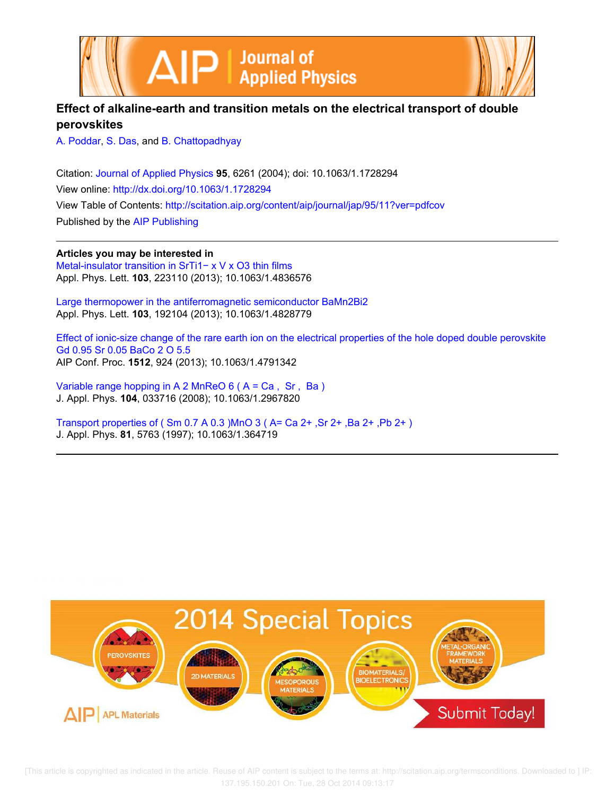



# **Effect of alkaline-earth and transition metals on the electrical transport of double perovskites**

A. Poddar, S. Das, and B. Chattopadhyay

Citation: Journal of Applied Physics **95**, 6261 (2004); doi: 10.1063/1.1728294 View online: http://dx.doi.org/10.1063/1.1728294 View Table of Contents: http://scitation.aip.org/content/aip/journal/jap/95/11?ver=pdfcov Published by the AIP Publishing

**Articles you may be interested in**

Metal-insulator transition in SrTi1− x V x O3 thin films Appl. Phys. Lett. **103**, 223110 (2013); 10.1063/1.4836576

Large thermopower in the antiferromagnetic semiconductor BaMn2Bi2 Appl. Phys. Lett. **103**, 192104 (2013); 10.1063/1.4828779

Effect of ionic-size change of the rare earth ion on the electrical properties of the hole doped double perovskite Gd 0.95 Sr 0.05 BaCo 2 O 5.5 AIP Conf. Proc. **1512**, 924 (2013); 10.1063/1.4791342

Variable range hopping in A 2 MnReO 6 ( A = Ca , Sr , Ba ) J. Appl. Phys. **104**, 033716 (2008); 10.1063/1.2967820

Transport properties of ( Sm 0.7 A 0.3 )MnO 3 ( A= Ca 2+ ,Sr 2+ ,Ba 2+ ,Pb 2+ ) J. Appl. Phys. **81**, 5763 (1997); 10.1063/1.364719



 [This article is copyrighted as indicated in the article. Reuse of AIP content is subject to the terms at: http://scitation.aip.org/termsconditions. Downloaded to ] IP: 137.195.150.201 On: Tue, 28 Oct 2014 09:13:17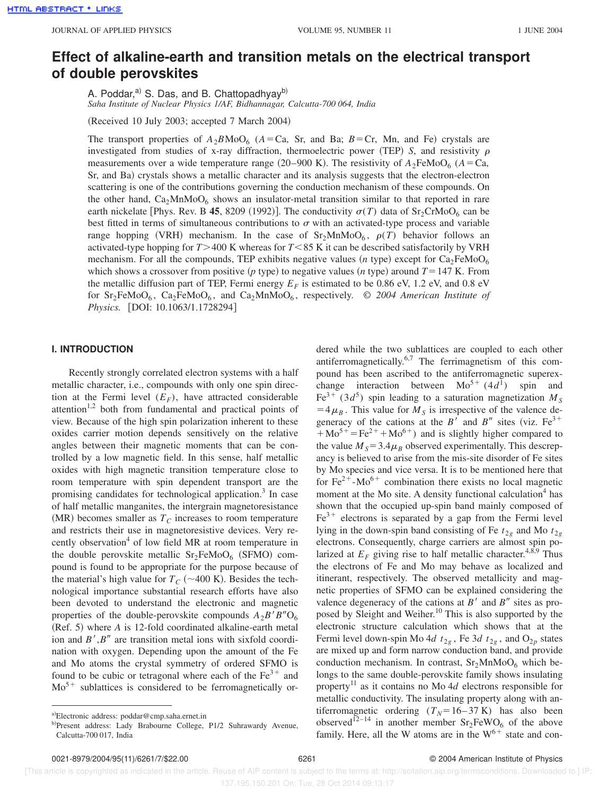# **Effect of alkaline-earth and transition metals on the electrical transport of double perovskites**

A. Poddar,<sup>a)</sup> S. Das, and B. Chattopadhyay<sup>b)</sup> *Saha Institute of Nuclear Physics 1/AF, Bidhannagar, Calcutta-700 064, India*

(Received 10 July 2003; accepted 7 March 2004)

The transport properties of  $A_2BMOO_6$  ( $A=Ca$ , Sr, and Ba;  $B=Cr$ , Mn, and Fe) crystals are investigated from studies of x-ray diffraction, thermoelectric power (TEP) *S*, and resistivity  $\rho$ measurements over a wide temperature range (20–900 K). The resistivity of  $A_2$ FeMoO<sub>6</sub> ( $A = Ca$ , Sr, and Ba) crystals shows a metallic character and its analysis suggests that the electron-electron scattering is one of the contributions governing the conduction mechanism of these compounds. On the other hand,  $Ca<sub>2</sub>MnMoO<sub>6</sub>$  shows an insulator-metal transition similar to that reported in rare earth nickelate [Phys. Rev. B 45, 8209 (1992)]. The conductivity  $\sigma(T)$  data of Sr<sub>2</sub>CrMoO<sub>6</sub> can be best fitted in terms of simultaneous contributions to  $\sigma$  with an activated-type process and variable range hopping (VRH) mechanism. In the case of  $Sr_2MnMoO<sub>6</sub>$ ,  $\rho(T)$  behavior follows an activated-type hopping for  $T > 400$  K whereas for  $T < 85$  K it can be described satisfactorily by VRH mechanism. For all the compounds, TEP exhibits negative values  $(n \text{ type})$  except for  $Ca<sub>2</sub>FeMoO<sub>6</sub>$ which shows a crossover from positive (*p* type) to negative values (*n* type) around  $T = 147$  K. From the metallic diffusion part of TEP, Fermi energy  $E_F$  is estimated to be 0.86 eV, 1.2 eV, and 0.8 eV for  $Sr_2FeMoO_6$ ,  $Ca_2FeMoO_6$ , and  $Ca_2MnMoO_6$ , respectively.  $\odot$  2004 American Institute of *Physics.* [DOI: 10.1063/1.1728294]

## **I. INTRODUCTION**

Recently strongly correlated electron systems with a half metallic character, i.e., compounds with only one spin direction at the Fermi level  $(E_F)$ , have attracted considerable attention<sup>1,2</sup> both from fundamental and practical points of view. Because of the high spin polarization inherent to these oxides carrier motion depends sensitively on the relative angles between their magnetic moments that can be controlled by a low magnetic field. In this sense, half metallic oxides with high magnetic transition temperature close to room temperature with spin dependent transport are the promising candidates for technological application.<sup>3</sup> In case of half metallic manganites, the intergrain magnetoresistance (MR) becomes smaller as  $T_c$  increases to room temperature and restricts their use in magnetoresistive devices. Very recently observation<sup>4</sup> of low field MR at room temperature in the double perovskite metallic  $Sr_2FeMoO<sub>6</sub>$  (SFMO) compound is found to be appropriate for the purpose because of the material's high value for  $T_C$  ( $\sim$ 400 K). Besides the technological importance substantial research efforts have also been devoted to understand the electronic and magnetic properties of the double-perovskite compounds  $A_2B'B''O_6$  $(Ref. 5)$  where  $A$  is 12-fold coordinated alkaline-earth metal ion and  $B', B''$  are transition metal ions with sixfold coordination with oxygen. Depending upon the amount of the Fe and Mo atoms the crystal symmetry of ordered SFMO is found to be cubic or tetragonal where each of the  $Fe<sup>3+</sup>$  and  $Mo<sup>5+</sup>$  sublattices is considered to be ferromagnetically or-

dered while the two sublattices are coupled to each other antiferromagnetically.6,7 The ferrimagnetism of this compound has been ascribed to the antiferromagnetic superexchange interaction between  $Mo^{5+} (4d^{1})$  spin and  $Fe^{3+}$  (3*d*<sup>5</sup>) spin leading to a saturation magnetization  $M_S$  $=4\mu_B$ . This value for  $M_S$  is irrespective of the valence degeneracy of the cations at the *B'* and *B''* sites (viz.  $Fe^{3+}$  $+Mo^{5+}=Fe^{2+}+Mo^{6+})$  and is slightly higher compared to the value  $M<sub>S</sub>=3.4\mu<sub>B</sub>$  observed experimentally. This descrepancy is believed to arise from the mis-site disorder of Fe sites by Mo species and vice versa. It is to be mentioned here that for  $Fe^{2+}$ -Mo<sup>6+</sup> combination there exists no local magnetic moment at the Mo site. A density functional calculation<sup>4</sup> has shown that the occupied up-spin band mainly composed of  $Fe<sup>3+</sup>$  electrons is separated by a gap from the Fermi level lying in the down-spin band consisting of Fe  $t_{2g}$  and Mo  $t_{2g}$ electrons. Consequently, charge carriers are almost spin polarized at  $E_F$  giving rise to half metallic character.<sup>4,8,9</sup> Thus the electrons of Fe and Mo may behave as localized and itinerant, respectively. The observed metallicity and magnetic properties of SFMO can be explained considering the valence degeneracy of the cations at  $B'$  and  $B''$  sites as proposed by Sleight and Weiher.<sup>10</sup> This is also supported by the electronic structure calculation which shows that at the Fermi level down-spin Mo 4*d*  $t_{2g}$ , Fe 3*d*  $t_{2g}$ , and  $O_{2p}$  states are mixed up and form narrow conduction band, and provide conduction mechanism. In contrast,  $Sr<sub>2</sub>MnMoO<sub>6</sub>$  which belongs to the same double-perovskite family shows insulating property<sup>11</sup> as it contains no Mo  $4d$  electrons responsible for metallic conductivity. The insulating property along with antiferromagnetic ordering  $(T_N=16-37 \text{ K})$  has also been observed<sup>12–14</sup> in another member  $Sr_2FeWO_6$  of the above family. Here, all the W atoms are in the  $W^{6+}$  state and con-

a)Electronic address: poddar@cmp.saha.ernet.in

b)Present address: Lady Brabourne College, P1/2 Suhrawardy Avenue, Calcutta-700 017, India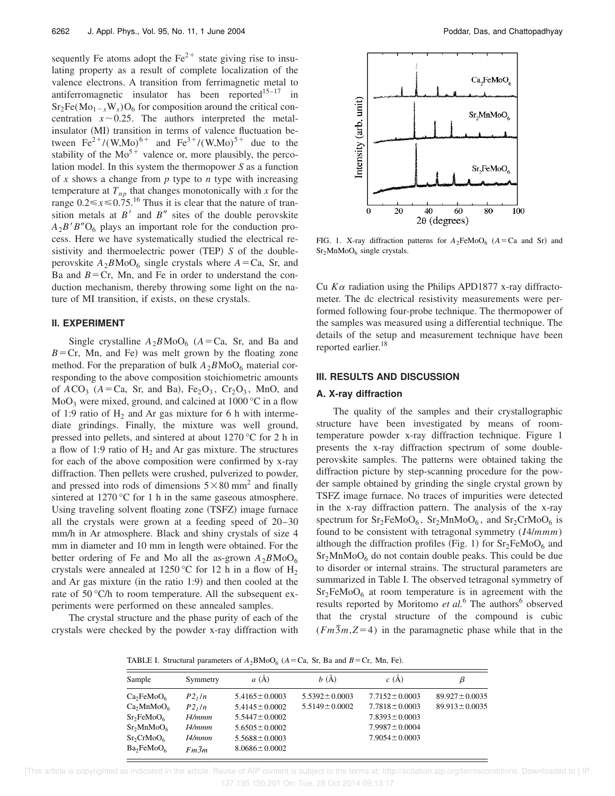sequently Fe atoms adopt the  $Fe<sup>2+</sup>$  state giving rise to insulating property as a result of complete localization of the valence electrons. A transition from ferrimagnetic metal to antiferromagnetic insulator has been reported $15-17$  in  $Sr_2Fe(Mo_{1-x}W_x)O_6$  for composition around the critical concentration  $x \sim 0.25$ . The authors interpreted the metalinsulator (MI) transition in terms of valence fluctuation between  $Fe^{2+}/(W, Mo)^{6+}$  and  $Fe^{3+}/(W,Mo)^{5+}$  due to the stability of the  $Mo^{5+}$  valence or, more plausibly, the percolation model. In this system the thermopower *S* as a function of *x* shows a change from *p* type to *n* type with increasing temperature at  $T_{np}$  that changes monotonically with *x* for the range  $0.2 \le x \le 0.75$ .<sup>16</sup> Thus it is clear that the nature of transition metals at  $B'$  and  $B''$  sites of the double perovskite  $A_2B'B''O_6$  plays an important role for the conduction process. Here we have systematically studied the electrical resistivity and thermoelectric power (TEP) *S* of the doubleperovskite  $A_2 B \text{MoO}_6$  single crystals where  $A = \text{Ca}$ , Sr, and Ba and  $B = Cr$ , Mn, and Fe in order to understand the conduction mechanism, thereby throwing some light on the nature of MI transition, if exists, on these crystals.

## **II. EXPERIMENT**

Single crystalline  $A_2BMO_6$  ( $A=Ca$ , Sr, and Ba and  $B = Cr$ , Mn, and Fe) was melt grown by the floating zone method. For the preparation of bulk  $A_2BMOO_6$  material corresponding to the above composition stoichiometric amounts of  $ACO_3$  ( $A=Ca$ , Sr, and Ba), Fe<sub>2</sub>O<sub>3</sub>, Cr<sub>2</sub>O<sub>3</sub>, MnO, and  $MoO<sub>3</sub>$  were mixed, ground, and calcined at 1000 °C in a flow of 1:9 ratio of  $H_2$  and Ar gas mixture for 6 h with intermediate grindings. Finally, the mixture was well ground, pressed into pellets, and sintered at about 1270 °C for 2 h in a flow of 1:9 ratio of  $H_2$  and Ar gas mixture. The structures for each of the above composition were confirmed by x-ray diffraction. Then pellets were crushed, pulverized to powder, and pressed into rods of dimensions  $5 \times 80$  mm<sup>2</sup> and finally sintered at 1270 °C for 1 h in the same gaseous atmosphere. Using traveling solvent floating zone (TSFZ) image furnace all the crystals were grown at a feeding speed of 20–30 mm/h in Ar atmosphere. Black and shiny crystals of size 4 mm in diameter and 10 mm in length were obtained. For the better ordering of Fe and Mo all the as-grown  $A_2BMO_6$ crystals were annealed at 1250 °C for 12 h in a flow of  $H_2$ and Ar gas mixture (in the ratio 1:9) and then cooled at the rate of 50 °C/h to room temperature. All the subsequent experiments were performed on these annealed samples.

The crystal structure and the phase purity of each of the crystals were checked by the powder x-ray diffraction with



FIG. 1. X-ray diffraction patterns for  $A_2$ FeMoO<sub>6</sub> ( $A = Ca$  and Sr) and Sr<sub>2</sub>MnMoO<sub>6</sub> single crystals.

Cu *K*<sup>a</sup> radiation using the Philips APD1877 x-ray diffractometer. The dc electrical resistivity measurements were performed following four-probe technique. The thermopower of the samples was measured using a differential technique. The details of the setup and measurement technique have been reported earlier.<sup>18</sup>

## **III. RESULTS AND DISCUSSION**

#### **A. X-ray diffraction**

The quality of the samples and their crystallographic structure have been investigated by means of roomtemperature powder x-ray diffraction technique. Figure 1 presents the x-ray diffraction spectrum of some doubleperovskite samples. The patterns were obtained taking the diffraction picture by step-scanning procedure for the powder sample obtained by grinding the single crystal grown by TSFZ image furnace. No traces of impurities were detected in the x-ray diffraction pattern. The analysis of the x-ray spectrum for  $Sr_2FeMoO_6$ ,  $Sr_2MnMoO_6$ , and  $Sr_2CrMoO_6$  is found to be consistent with tetragonal symmetry (*I*4/*mmm*) although the diffraction profiles (Fig. 1) for  $Sr<sub>2</sub>FeMoO<sub>6</sub>$  and  $Sr<sub>2</sub>MnMoO<sub>6</sub>$  do not contain double peaks. This could be due to disorder or internal strains. The structural parameters are summarized in Table I. The observed tetragonal symmetry of  $Sr<sub>2</sub>FeMoO<sub>6</sub>$  at room temperature is in agreement with the results reported by Moritomo et al.<sup>6</sup> The authors<sup>6</sup> observed that the crystal structure of the compound is cubic  $(Fm\overline{3}m, Z=4)$  in the paramagnetic phase while that in the

TABLE I. Structural parameters of  $A_2$ BMoO<sub>6</sub> ( $A = Ca$ , Sr, Ba and  $B = Cr$ , Mn, Fe).

| Sample                             | Symmetry           | $a(\AA)$            | b(A)                | c(A)                | В                   |
|------------------------------------|--------------------|---------------------|---------------------|---------------------|---------------------|
| Ca <sub>2</sub> FeMoO <sub>6</sub> | P2, ln             | $5.4165 \pm 0.0003$ | $5.5392 \pm 0.0003$ | $7.7152 \pm 0.0003$ | $89.927 \pm 0.0035$ |
| Ca <sub>2</sub> MnMoO <sub>6</sub> | P2 <sub>1</sub> /n | $5.4145 \pm 0.0002$ | $5.5149 \pm 0.0002$ | $7.7818 \pm 0.0003$ | $89.913 \pm 0.0035$ |
| Sr <sub>2</sub> FeMoO <sub>6</sub> | I4/mmm             | $5.5447 \pm 0.0002$ |                     | $7.8393 \pm 0.0003$ |                     |
| $Sr_2MnMoO_6$                      | I4/mmm             | $5.6505 \pm 0.0002$ |                     | $7.9987 \pm 0.0004$ |                     |
| $Sr_2CrMoO_6$                      | I4/mmm             | $5.5688 \pm 0.0003$ |                     | $7.9054 \pm 0.0003$ |                     |
| $Ba_2FeMoO_6$                      | $Fm\overline{3}m$  | $8.0686 \pm 0.0002$ |                     |                     |                     |

 [This article is copyrighted as indicated in the article. Reuse of AIP content is subject to the terms at: http://scitation.aip.org/termsconditions. Downloaded to ] IP: 137.195.150.201 On: Tue, 28 Oct 2014 09:13:17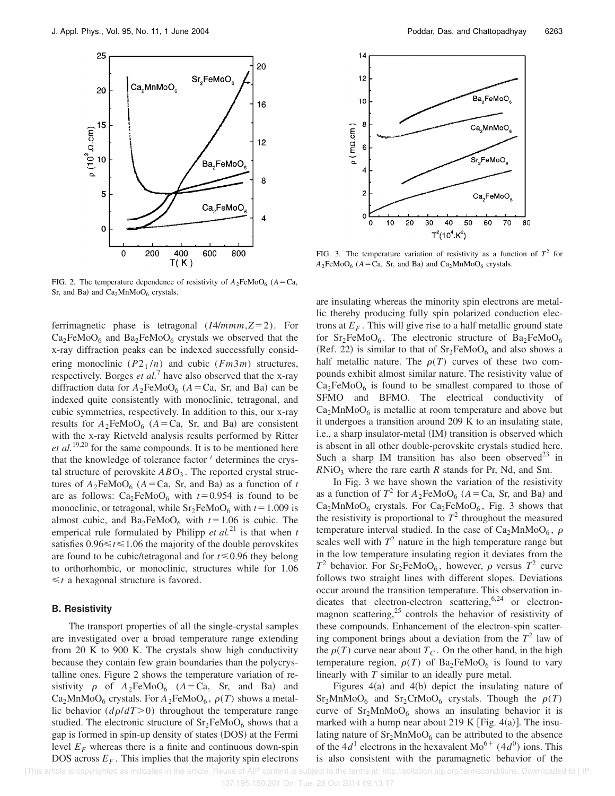

FIG. 2. The temperature dependence of resistivity of  $A_2$ FeMoO<sub>6</sub> ( $A = Ca$ , Sr, and Ba) and  $Ca<sub>2</sub>MnMoO<sub>6</sub>$  crystals.

ferrimagnetic phase is tetragonal  $(I4/mmm, Z=2)$ . For  $Ca<sub>2</sub>FeMoO<sub>6</sub>$  and  $Ba<sub>2</sub>FeMoO<sub>6</sub>$  crystals we observed that the x-ray diffraction peaks can be indexed successfully considering monoclinic  $(P2_1/n)$  and cubic  $(Fm\overline{3}m)$  structures, respectively. Borges *et al.*<sup>7</sup> have also observed that the x-ray diffraction data for  $A_2$ FeMoO<sub>6</sub> ( $A = Ca$ , Sr, and Ba) can be indexed quite consistently with monoclinic, tetragonal, and cubic symmetries, respectively. In addition to this, our x-ray results for  $A_2$ FeMoO<sub>6</sub> ( $A = Ca$ , Sr, and Ba) are consistent with the x-ray Rietveld analysis results performed by Ritter *et al.*19,20 for the same compounds. It is to be mentioned here that the knowledge of tolerance factor *<sup>t</sup>* determines the crystal structure of perovskite  $ABO<sub>3</sub>$ . The reported crystal structures of  $A_2$ FeMoO<sub>6</sub> ( $A = Ca$ , Sr, and Ba) as a function of *t* are as follows:  $Ca<sub>2</sub>FeMoO<sub>6</sub>$  with  $t=0.954$  is found to be monoclinic, or tetragonal, while  $Sr_2FeMoO_6$  with  $t=1.009$  is almost cubic, and  $Ba_2FeMoO_6$  with  $t=1.06$  is cubic. The emperical rule formulated by Philipp  $et al.<sup>21</sup>$  is that when  $t$ satisfies  $0.96 \le t \le 1.06$  the majority of the double perovskites are found to be cubic/tetragonal and for  $t \le 0.96$  they belong to orthorhombic, or monoclinic, structures while for 1.06  $\leq t$  a hexagonal structure is favored.

## **B. Resistivity**

The transport properties of all the single-crystal samples are investigated over a broad temperature range extending from 20 K to 900 K. The crystals show high conductivity because they contain few grain boundaries than the polycrystalline ones. Figure 2 shows the temperature variation of resistivity  $\rho$  of  $A_2$ FeMoO<sub>6</sub> ( $A = Ca$ , Sr, and Ba) and  $Ca<sub>2</sub>MnMoO<sub>6</sub>$  crystals. For  $A<sub>2</sub>FeMoO<sub>6</sub>$ ,  $\rho(T)$  shows a metallic behavior  $(d\rho/dT>0)$  throughout the temperature range studied. The electronic structure of  $Sr<sub>2</sub>FeMoO<sub>6</sub>$  shows that a gap is formed in spin-up density of states (DOS) at the Fermi level  $E_F$  whereas there is a finite and continuous down-spin DOS across  $E_F$ . This implies that the majority spin electrons



FIG. 3. The temperature variation of resistivity as a function of  $T^2$  for  $A_2$ FeMoO<sub>6</sub> ( $A = Ca$ , Sr, and Ba) and Ca<sub>2</sub>MnMoO<sub>6</sub> crystals.

are insulating whereas the minority spin electrons are metallic thereby producing fully spin polarized conduction electrons at  $E_F$ . This will give rise to a half metallic ground state for  $Sr_2FeMoO<sub>6</sub>$ . The electronic structure of  $Ba_2FeMoO<sub>6</sub>$ (Ref. 22) is similar to that of  $Sr_2FeMoO_6$  and also shows a half metallic nature. The  $\rho(T)$  curves of these two compounds exhibit almost similar nature. The resistivity value of  $Ca<sub>2</sub>FeMoO<sub>6</sub>$  is found to be smallest compared to those of SFMO and BFMO. The electrical conductivity of  $Ca<sub>2</sub>MnMoO<sub>6</sub>$  is metallic at room temperature and above but it undergoes a transition around 209 K to an insulating state, i.e., a sharp insulator-metal (IM) transition is observed which is absent in all other double-perovskite crystals studied here. Such a sharp IM transition has also been observed<sup>23</sup> in  $RNiO<sub>3</sub>$  where the rare earth *R* stands for Pr, Nd, and Sm.

In Fig. 3 we have shown the variation of the resistivity as a function of  $T^2$  for  $A_2$ FeMoO<sub>6</sub> ( $A = Ca$ , Sr, and Ba) and  $Ca<sub>2</sub>MnMoO<sub>6</sub>$  crystals. For  $Ca<sub>2</sub>FeMoO<sub>6</sub>$ , Fig. 3 shows that the resistivity is proportional to  $T^2$  throughout the measured temperature interval studied. In the case of  $Ca<sub>2</sub>MnMoO<sub>6</sub>$ ,  $\rho$ scales well with  $T^2$  nature in the high temperature range but in the low temperature insulating region it deviates from the  $T^2$  behavior. For Sr<sub>2</sub>FeMoO<sub>6</sub>, however,  $\rho$  versus  $T^2$  curve follows two straight lines with different slopes. Deviations occur around the transition temperature. This observation indicates that electron-electron scattering,<sup>6,24</sup> or electronmagnon scattering, $25$  controls the behavior of resistivity of these compounds. Enhancement of the electron-spin scattering component brings about a deviation from the  $T^2$  law of the  $\rho(T)$  curve near about  $T_c$ . On the other hand, in the high temperature region,  $\rho(T)$  of Ba<sub>2</sub>FeMoO<sub>6</sub> is found to vary linearly with *T* similar to an ideally pure metal.

Figures  $4(a)$  and  $4(b)$  depict the insulating nature of  $Sr<sub>2</sub>MnMoO<sub>6</sub>$  and  $Sr<sub>2</sub>CrMoO<sub>6</sub>$  crystals. Though the  $\rho(T)$ curve of  $Sr<sub>2</sub>MnMoO<sub>6</sub>$  shows an insulating behavior it is marked with a hump near about 219 K [Fig. 4(a)]. The insulating nature of  $Sr<sub>2</sub>MnMoO<sub>6</sub>$  can be attributed to the absence of the 4 $d^1$  electrons in the hexavalent Mo<sup>6+</sup> (4 $d^0$ ) ions. This is also consistent with the paramagnetic behavior of the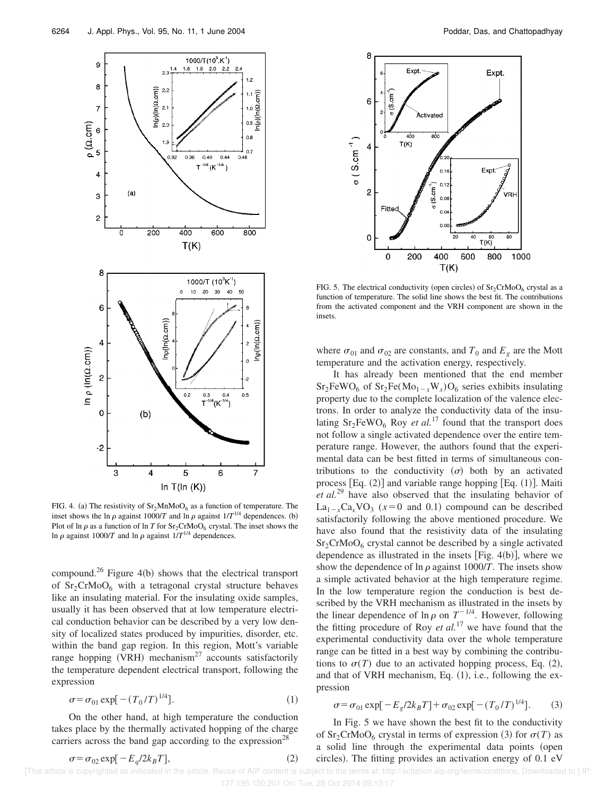

FIG. 4. (a) The resistivity of  $Sr<sub>2</sub>MnMoO<sub>6</sub>$  as a function of temperature. The inset shows the ln  $\rho$  against 1000/*T* and ln  $\rho$  against  $1/T^{1/4}$  dependences. (b) Plot of ln  $\rho$  as a function of ln *T* for  $Sr_2CrMoO<sub>6</sub>$  crystal. The inset shows the In  $\rho$  against 1000/*T* and ln  $\rho$  against 1/*T*<sup>1/4</sup> dependences.

compound.<sup>26</sup> Figure 4(b) shows that the electrical transport of  $Sr<sub>2</sub>CrMoO<sub>6</sub>$  with a tetragonal crystal structure behaves like an insulating material. For the insulating oxide samples, usually it has been observed that at low temperature electrical conduction behavior can be described by a very low density of localized states produced by impurities, disorder, etc. within the band gap region. In this region, Mott's variable range hopping (VRH) mechanism<sup>27</sup> accounts satisfactorily the temperature dependent electrical transport, following the expression

$$
\sigma = \sigma_{01} \exp[-(T_0/T)^{1/4}].
$$
 (1)

On the other hand, at high temperature the conduction takes place by the thermally activated hopping of the charge carriers across the band gap according to the expression<sup>28</sup>

$$
\sigma = \sigma_{02} \exp[-E_q/2k_B T],\tag{2}
$$



FIG. 5. The electrical conductivity (open circles) of  $Sr_2CrMoO_6$  crystal as a function of temperature. The solid line shows the best fit. The contributions from the activated component and the VRH component are shown in the insets.

where  $\sigma_{01}$  and  $\sigma_{02}$  are constants, and  $T_0$  and  $E_g$  are the Mott temperature and the activation energy, respectively.

It has already been mentioned that the end member  $Sr_2FeWO_6$  of  $Sr_2Fe(Mo_{1-x}W_x)O_6$  series exhibits insulating property due to the complete localization of the valence electrons. In order to analyze the conductivity data of the insulating  $Sr_2FeWO_6$  Roy *et al.*<sup>17</sup> found that the transport does not follow a single activated dependence over the entire temperature range. However, the authors found that the experimental data can be best fitted in terms of simultaneous contributions to the conductivity  $(\sigma)$  both by an activated process  $[Eq. (2)]$  and variable range hopping  $[Eq. (1)]$ . Maiti *et al.*<sup>29</sup> have also observed that the insulating behavior of  $La_{1-x}Ca_xVO_3$  ( $x=0$  and 0.1) compound can be described satisfactorily following the above mentioned procedure. We have also found that the resistivity data of the insulating  $Sr<sub>2</sub>CrMoO<sub>6</sub>$  crystal cannot be described by a single activated dependence as illustrated in the insets [Fig.  $4(b)$ ], where we show the dependence of  $\ln \rho$  against 1000/*T*. The insets show a simple activated behavior at the high temperature regime. In the low temperature region the conduction is best described by the VRH mechanism as illustrated in the insets by the linear dependence of  $\ln \rho$  on  $T^{-1/4}$ . However, following the fitting procedure of Roy *et al.*<sup>17</sup> we have found that the experimental conductivity data over the whole temperature range can be fitted in a best way by combining the contributions to  $\sigma(T)$  due to an activated hopping process, Eq. (2), and that of VRH mechanism, Eq.  $(1)$ , i.e., following the expression

$$
\sigma = \sigma_{01} \exp[-E_g/2k_B T] + \sigma_{02} \exp[-(T_0/T)^{1/4}].
$$
 (3)

In Fig. 5 we have shown the best fit to the conductivity of Sr<sub>2</sub>CrMoO<sub>6</sub> crystal in terms of expression (3) for  $\sigma(T)$  as a solid line through the experimental data points (open circles). The fitting provides an activation energy of  $0.1 \text{ eV}$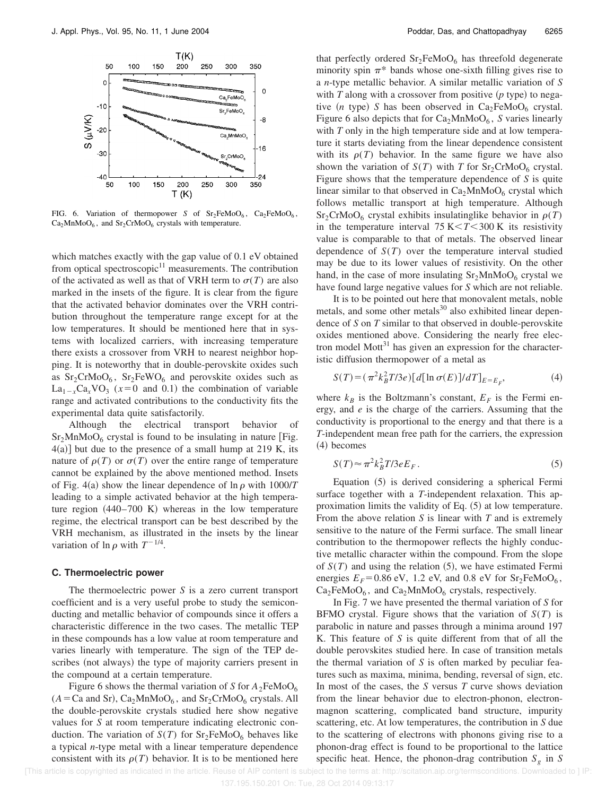

FIG. 6. Variation of thermopower *S* of  $Sr_2FeMoO<sub>6</sub>$ ,  $Ca_2FeMoO<sub>6</sub>$ ,  $Ca<sub>2</sub>MnMoO<sub>6</sub>$ , and Sr<sub>2</sub>CrMoO<sub>6</sub> crystals with temperature.

which matches exactly with the gap value of 0.1 eV obtained from optical spectroscopic $11$  measurements. The contribution of the activated as well as that of VRH term to  $\sigma(T)$  are also marked in the insets of the figure. It is clear from the figure that the activated behavior dominates over the VRH contribution throughout the temperature range except for at the low temperatures. It should be mentioned here that in systems with localized carriers, with increasing temperature there exists a crossover from VRH to nearest neighbor hopping. It is noteworthy that in double-perovskite oxides such as  $Sr_2CrMoO_6$ ,  $Sr_2FeWO_6$  and perovskite oxides such as  $La_{1-x}Ca_xVO_3(x=0)$  and 0.1) the combination of variable range and activated contributions to the conductivity fits the experimental data quite satisfactorily.

Although the electrical transport behavior of  $Sr<sub>2</sub>MnMoO<sub>6</sub>$  crystal is found to be insulating in nature [Fig.  $4(a)$ ] but due to the presence of a small hump at 219 K, its nature of  $\rho(T)$  or  $\sigma(T)$  over the entire range of temperature cannot be explained by the above mentioned method. Insets of Fig. 4(a) show the linear dependence of  $\ln \rho$  with 1000/*T* leading to a simple activated behavior at the high temperature region  $(440–700 \text{ K})$  whereas in the low temperature regime, the electrical transport can be best described by the VRH mechanism, as illustrated in the insets by the linear variation of  $\ln \rho$  with  $T^{-1/4}$ .

### **C. Thermoelectric power**

The thermoelectric power *S* is a zero current transport coefficient and is a very useful probe to study the semiconducting and metallic behavior of compounds since it offers a characteristic difference in the two cases. The metallic TEP in these compounds has a low value at room temperature and varies linearly with temperature. The sign of the TEP describes (not always) the type of majority carriers present in the compound at a certain temperature.

Figure 6 shows the thermal variation of *S* for  $A_2$ FeMoO<sub>6</sub>  $(A = Ca$  and Sr), Ca<sub>2</sub>MnMoO<sub>6</sub>, and Sr<sub>2</sub>CrMoO<sub>6</sub> crystals. All the double-perovskite crystals studied here show negative values for *S* at room temperature indicating electronic conduction. The variation of  $S(T)$  for  $Sr_2FeMoO<sub>6</sub>$  behaves like a typical *n*-type metal with a linear temperature dependence consistent with its  $\rho(T)$  behavior. It is to be mentioned here that perfectly ordered  $Sr<sub>2</sub>FeMoO<sub>6</sub>$  has threefold degenerate minority spin  $\pi^*$  bands whose one-sixth filling gives rise to a *n*-type metallic behavior. A similar metallic variation of *S* with  $T$  along with a crossover from positive  $(p$  type) to negative (*n* type) *S* has been observed in  $Ca<sub>2</sub>FeMoO<sub>6</sub>$  crystal. Figure 6 also depicts that for Ca<sub>2</sub>MnMoO<sub>6</sub>, *S* varies linearly with *T* only in the high temperature side and at low temperature it starts deviating from the linear dependence consistent with its  $\rho(T)$  behavior. In the same figure we have also shown the variation of  $S(T)$  with *T* for  $Sr_2CrMoO_6$  crystal. Figure shows that the temperature dependence of *S* is quite linear similar to that observed in  $Ca<sub>2</sub>MnMoO<sub>6</sub>$  crystal which follows metallic transport at high temperature. Although  $Sr_2CrMoO_6$  crystal exhibits insulatinglike behavior in  $\rho(T)$ in the temperature interval  $75 K < T < 300 K$  its resistivity value is comparable to that of metals. The observed linear dependence of *S*(*T*) over the temperature interval studied may be due to its lower values of resistivity. On the other hand, in the case of more insulating  $Sr<sub>2</sub>MnMoO<sub>6</sub>$  crystal we have found large negative values for *S* which are not reliable.

It is to be pointed out here that monovalent metals, noble metals, and some other metals<sup>30</sup> also exhibited linear dependence of *S* on *T* similar to that observed in double-perovskite oxides mentioned above. Considering the nearly free electron model Mott $31$  has given an expression for the characteristic diffusion thermopower of a metal as

$$
S(T) = (\pi^2 k_B^2 T/3e) [d[\ln \sigma(E)]/dT]_{E=E_F}, \tag{4}
$$

where  $k_B$  is the Boltzmann's constant,  $E_F$  is the Fermi energy, and *e* is the charge of the carriers. Assuming that the conductivity is proportional to the energy and that there is a *T*-independent mean free path for the carriers, the expression (4) becomes

$$
S(T) \approx \pi^2 k_B^2 T / 3e E_F. \tag{5}
$$

Equation  $(5)$  is derived considering a spherical Fermi surface together with a *T*-independent relaxation. This approximation limits the validity of Eq.  $(5)$  at low temperature. From the above relation *S* is linear with *T* and is extremely sensitive to the nature of the Fermi surface. The small linear contribution to the thermopower reflects the highly conductive metallic character within the compound. From the slope of  $S(T)$  and using the relation  $(5)$ , we have estimated Fermi energies  $E_F = 0.86$  eV, 1.2 eV, and 0.8 eV for  $Sr_2FeMoO<sub>6</sub>$ ,  $Ca<sub>2</sub>FeMoO<sub>6</sub>$ , and  $Ca<sub>2</sub>MnMoO<sub>6</sub>$  crystals, respectively.

In Fig. 7 we have presented the thermal variation of *S* for BFMO crystal. Figure shows that the variation of *S*(*T*) is parabolic in nature and passes through a minima around 197 K. This feature of *S* is quite different from that of all the double perovskites studied here. In case of transition metals the thermal variation of *S* is often marked by peculiar features such as maxima, minima, bending, reversal of sign, etc. In most of the cases, the *S* versus *T* curve shows deviation from the linear behavior due to electron-phonon, electronmagnon scattering, complicated band structure, impurity scattering, etc. At low temperatures, the contribution in *S* due to the scattering of electrons with phonons giving rise to a phonon-drag effect is found to be proportional to the lattice specific heat. Hence, the phonon-drag contribution  $S<sub>g</sub>$  in *S*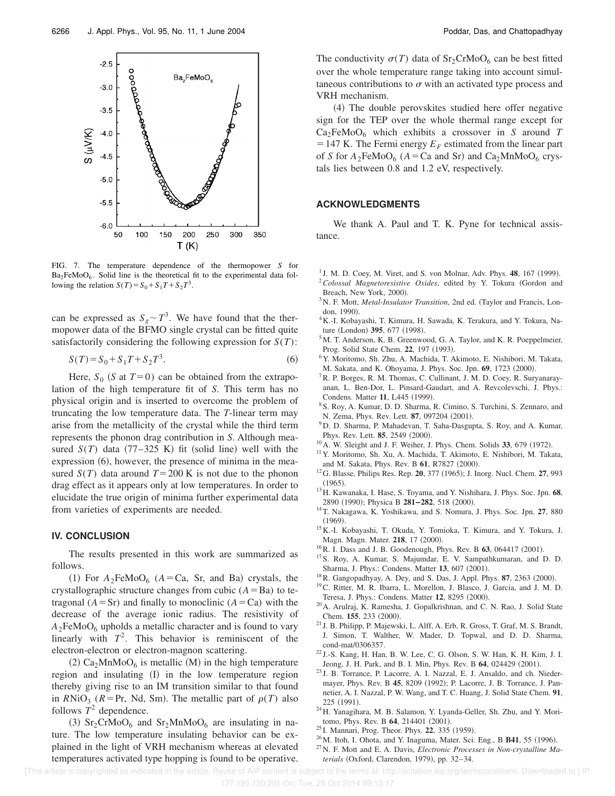

FIG. 7. The temperature dependence of the thermopower *S* for  $Ba<sub>2</sub>FeMoO<sub>6</sub>$ . Solid line is the theoretical fit to the experimental data following the relation  $S(T) = S_0 + S_1T + S_2T^3$ .

can be expressed as  $S_g \sim T^3$ . We have found that the thermopower data of the BFMO single crystal can be fitted quite satisfactorily considering the following expression for *S*(*T*):

$$
S(T) = S_0 + S_1 T + S_2 T^3.
$$
 (6)

Here,  $S_0$  (*S* at  $T=0$ ) can be obtained from the extrapolation of the high temperature fit of *S*. This term has no physical origin and is inserted to overcome the problem of truncating the low temperature data. The *T*-linear term may arise from the metallicity of the crystal while the third term represents the phonon drag contribution in *S*. Although measured  $S(T)$  data  $(77-325 \text{ K})$  fit (solid line) well with the expression  $(6)$ , however, the presence of minima in the measured  $S(T)$  data around  $T=200$  K is not due to the phonon drag effect as it appears only at low temperatures. In order to elucidate the true origin of minima further experimental data from varieties of experiments are needed.

## **IV. CONCLUSION**

The results presented in this work are summarized as follows.

(1) For  $A_2$ FeMoO<sub>6</sub> ( $A = Ca$ , Sr, and Ba) crystals, the crystallographic structure changes from cubic  $(A = Ba)$  to tetragonal  $(A = Sr)$  and finally to monoclinic  $(A = Ca)$  with the decrease of the average ionic radius. The resistivity of  $A_2$ FeMoO<sub>6</sub> upholds a metallic character and is found to vary linearly with  $T^2$ . This behavior is reminiscent of the electron-electron or electron-magnon scattering.

 $(2)$  Ca<sub>2</sub>MnMoO<sub>6</sub> is metallic (M) in the high temperature region and insulating (I) in the low temperature region thereby giving rise to an IM transition similar to that found in  $R\text{NiO}_3$  ( $R = \text{Pr}$ , Nd, Sm). The metallic part of  $\rho(T)$  also follows  $T^2$  dependence.

(3)  $Sr_2CrMoO_6$  and  $Sr_2MnMoO_6$  are insulating in nature. The low temperature insulating behavior can be explained in the light of VRH mechanism whereas at elevated temperatures activated type hopping is found to be operative. The conductivity  $\sigma(T)$  data of Sr<sub>2</sub>CrMoO<sub>6</sub> can be best fitted over the whole temperature range taking into account simultaneous contributions to  $\sigma$  with an activated type process and VRH mechanism.

(4) The double perovskites studied here offer negative sign for the TEP over the whole thermal range except for  $Ca<sub>2</sub>FeMoO<sub>6</sub>$  which exhibits a crossover in *S* around *T*  $=$  147 K. The Fermi energy  $E_F$  estimated from the linear part of *S* for  $A_2$ FeMoO<sub>6</sub> ( $A = Ca$  and Sr) and Ca<sub>2</sub>MnMoO<sub>6</sub> crystals lies between 0.8 and 1.2 eV, respectively.

### **ACKNOWLEDGMENTS**

We thank A. Paul and T. K. Pyne for technical assistance.

- <sup>1</sup> J. M. D. Coey, M. Viret, and S. von Molnar, Adv. Phys. 48, 167 (1999).
- <sup>2</sup> Colossal Magnetoresistive Oxides, edited by Y. Tokura (Gordon and Breach, New York, 2000).
- <sup>3</sup>N. F. Mott, *Metal-Insulator Transition*, 2nd ed. (Taylor and Francis, London, 1990).
- <sup>4</sup>K.-I. Kobayashi, T. Kimura, H. Sawada, K. Terakura, and Y. Tokura, Nature (London) 395, 677 (1998).
- <sup>5</sup>M. T. Anderson, K. B. Greenwood, G. A. Taylor, and K. R. Poeppelmeier, Prog. Solid State Chem. 22, 197 (1993).
- <sup>6</sup>Y. Moritomo, Sh. Zhu, A. Machida, T. Akimoto, E. Nishibori, M. Takata, M. Sakata, and K. Ohoyama, J. Phys. Soc. Jpn. 69, 1723 (2000).
- <sup>7</sup> R. P. Borges, R. M. Thomas, C. Cullinant, J. M. D. Coey, R. Suryanarayanan, L. Ben-Dor, L. Pinsard-Gaudart, and A. Revcolevschi, J. Phys.: Condens. Matter 11, L445 (1999).
- <sup>8</sup>S. Roy, A. Kumar, D. D. Sharma, R. Cimino, S. Turchini, S. Zennaro, and N. Zema, Phys. Rev. Lett. **87**, 097204 (2001).
- <sup>9</sup>D. D. Sharma, P. Mahadevan, T. Saha-Dasgupta, S. Roy, and A. Kumar, Phys. Rev. Lett. **85**, 2549 (2000).
- $10$ A. W. Sleight and J. F. Weiher, J. Phys. Chem. Solids  $33$ , 679 (1972).
- <sup>11</sup>Y. Moritomo, Sh. Xu, A. Machida, T. Akimoto, E. Nishibori, M. Takata, and M. Sakata, Phys. Rev. B 61, R7827 (2000).
- <sup>12</sup>G. Blasse, Philips Res. Rep. **20**, 377 (1965); J. Inorg. Nucl. Chem. **27**, 993  $(1965).$
- <sup>13</sup>H. Kawanaka, I. Hase, S. Toyama, and Y. Nishihara, J. Phys. Soc. Jpn. **68**, 2890 (1990); Physica B 281-282, 518 (2000).
- <sup>14</sup>T. Nakagawa, K. Yoshikawa, and S. Nomura, J. Phys. Soc. Jpn. **27**, 880  $(1969)$ .
- <sup>15</sup>K.-I. Kobayashi, T. Okuda, Y. Tomioka, T. Kimura, and Y. Tokura, J. Magn. Magn. Mater. 218, 17 (2000).
- $^{16}$ R. I. Dass and J. B. Goodenough, Phys. Rev. B 63, 064417 (2001).
- <sup>17</sup>S. Roy, A. Kumar, S. Majumdar, E. V. Sampathkumaran, and D. D. Sharma, J. Phys.: Condens. Matter 13, 607 (2001).
- <sup>18</sup>R. Gangopadhyay, A. Dey, and S. Das, J. Appl. Phys. **87**, 2363 (2000).
- <sup>19</sup>C. Ritter, M. R. Ibarra, L. Morellon, J. Blasco, J. Garcia, and J. M. D. Teresa, J. Phys.: Condens. Matter 12, 8295 (2000).
- <sup>20</sup>A. Arulraj, K. Ramesha, J. Gopalkrishnan, and C. N. Rao, J. Solid State Chem. **155**, 233 (2000).
- <sup>21</sup> J. B. Philipp, P. Majewski, L. Alff, A. Erb, R. Gross, T. Graf, M. S. Brandt, J. Simon, T. Walther, W. Mader, D. Topwal, and D. D. Sharma, cond-mat/0306357.
- $22$  J.-S. Kang, H. Han, B. W. Lee, C. G. Olson, S. W. Han, K. H. Kim, J. I. Jeong, J. H. Park, and B. I. Min, Phys. Rev. B 64, 024429 (2001).
- <sup>23</sup> J. B. Torrance, P. Lacorre, A. I. Nazzal, E. J. Ansaldo, and ch. Niedermayer, Phys. Rev. B 45, 8209 (1992); P. Lacorre, J. B. Torrance, J. Pannetier, A. I. Nazzal, P. W. Wang, and T. C. Huang, J. Solid State Chem. **91**, 225 (1991).
- <sup>24</sup>H. Yanagihara, M. B. Salamon, Y. Lyanda-Geller, Sh. Zhu, and Y. Moritomo, Phys. Rev. B 64, 214401 (2001).
- <sup>25</sup> I. Mannari, Prog. Theor. Phys. **22**, 335 (1959).
- <sup>26</sup> M. Itoh, I. Ohota, and Y. Inaguma, Mater. Sci. Eng., B **B41**, 55 (1996).
- <sup>27</sup>N. F. Mott and E. A. Davis, *Electronic Processes in Non-crystalline Materials* (Oxford, Clarendon, 1979), pp. 32–34.

[This article is copyrighted as indicated in the article. Reuse of AIP content is subject to the terms at: http://scitation.aip.org/termsconditions. Downloaded to ] IP: